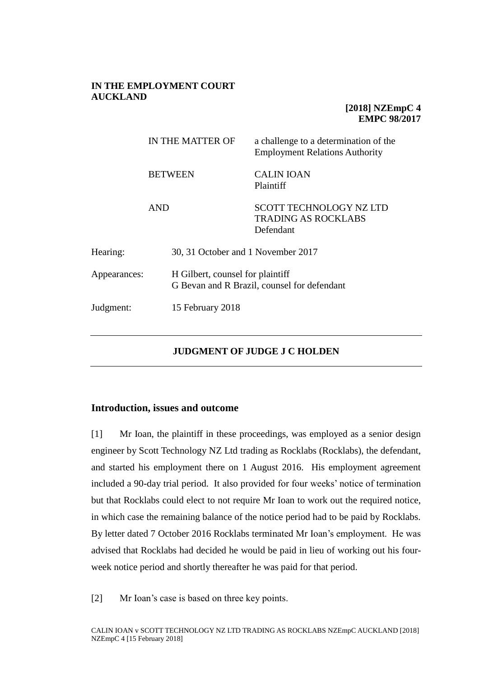# **IN THE EMPLOYMENT COURT AUCKLAND**

# **[2018] NZEmpC 4 EMPC 98/2017**

|              | IN THE MATTER OF |                                                                                 | a challenge to a determination of the<br><b>Employment Relations Authority</b> |  |
|--------------|------------------|---------------------------------------------------------------------------------|--------------------------------------------------------------------------------|--|
|              |                  | <b>BETWEEN</b>                                                                  | <b>CALIN IOAN</b><br>Plaintiff                                                 |  |
|              | <b>AND</b>       |                                                                                 | <b>SCOTT TECHNOLOGY NZ LTD</b><br><b>TRADING AS ROCKLABS</b><br>Defendant      |  |
| Hearing:     |                  | 30, 31 October and 1 November 2017                                              |                                                                                |  |
| Appearances: |                  | H Gilbert, counsel for plaintiff<br>G Bevan and R Brazil, counsel for defendant |                                                                                |  |
| Judgment:    |                  | 15 February 2018                                                                |                                                                                |  |

# **JUDGMENT OF JUDGE J C HOLDEN**

## **Introduction, issues and outcome**

[1] Mr Ioan, the plaintiff in these proceedings, was employed as a senior design engineer by Scott Technology NZ Ltd trading as Rocklabs (Rocklabs), the defendant, and started his employment there on 1 August 2016. His employment agreement included a 90-day trial period. It also provided for four weeks' notice of termination but that Rocklabs could elect to not require Mr Ioan to work out the required notice, in which case the remaining balance of the notice period had to be paid by Rocklabs. By letter dated 7 October 2016 Rocklabs terminated Mr Ioan's employment. He was advised that Rocklabs had decided he would be paid in lieu of working out his fourweek notice period and shortly thereafter he was paid for that period.

[2] Mr Ioan's case is based on three key points.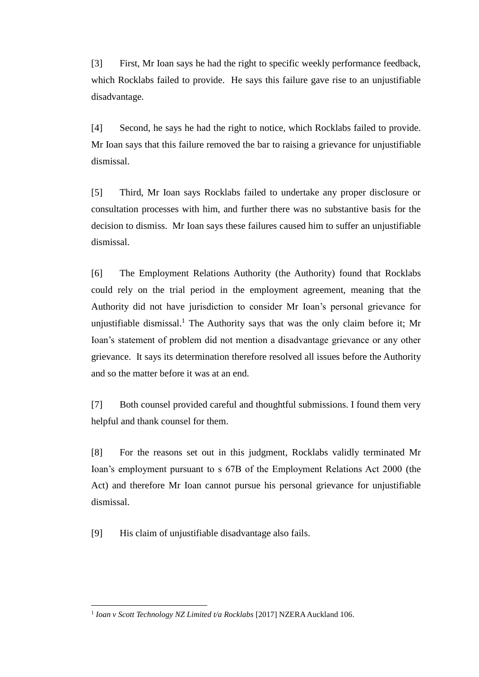[3] First, Mr Ioan says he had the right to specific weekly performance feedback, which Rocklabs failed to provide. He says this failure gave rise to an unjustifiable disadvantage.

[4] Second, he says he had the right to notice, which Rocklabs failed to provide. Mr Ioan says that this failure removed the bar to raising a grievance for unjustifiable dismissal.

[5] Third, Mr Ioan says Rocklabs failed to undertake any proper disclosure or consultation processes with him, and further there was no substantive basis for the decision to dismiss. Mr Ioan says these failures caused him to suffer an unjustifiable dismissal.

[6] The Employment Relations Authority (the Authority) found that Rocklabs could rely on the trial period in the employment agreement, meaning that the Authority did not have jurisdiction to consider Mr Ioan's personal grievance for unjustifiable dismissal.<sup>1</sup> The Authority says that was the only claim before it; Mr Ioan's statement of problem did not mention a disadvantage grievance or any other grievance. It says its determination therefore resolved all issues before the Authority and so the matter before it was at an end.

[7] Both counsel provided careful and thoughtful submissions. I found them very helpful and thank counsel for them.

[8] For the reasons set out in this judgment, Rocklabs validly terminated Mr Ioan's employment pursuant to s 67B of the Employment Relations Act 2000 (the Act) and therefore Mr Ioan cannot pursue his personal grievance for unjustifiable dismissal.

[9] His claim of unjustifiable disadvantage also fails.

 $\overline{a}$ 

<sup>&</sup>lt;sup>1</sup> Ioan v Scott Technology NZ Limited t/a Rocklabs [2017] NZERA Auckland 106.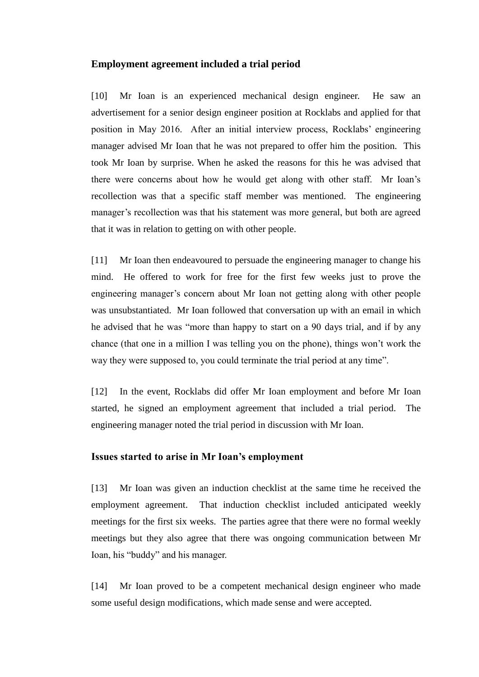## **Employment agreement included a trial period**

[10] Mr Ioan is an experienced mechanical design engineer. He saw an advertisement for a senior design engineer position at Rocklabs and applied for that position in May 2016. After an initial interview process, Rocklabs' engineering manager advised Mr Ioan that he was not prepared to offer him the position. This took Mr Ioan by surprise. When he asked the reasons for this he was advised that there were concerns about how he would get along with other staff. Mr Ioan's recollection was that a specific staff member was mentioned. The engineering manager's recollection was that his statement was more general, but both are agreed that it was in relation to getting on with other people.

[11] Mr Ioan then endeavoured to persuade the engineering manager to change his mind. He offered to work for free for the first few weeks just to prove the engineering manager's concern about Mr Ioan not getting along with other people was unsubstantiated. Mr Ioan followed that conversation up with an email in which he advised that he was "more than happy to start on a 90 days trial, and if by any chance (that one in a million I was telling you on the phone), things won't work the way they were supposed to, you could terminate the trial period at any time".

[12] In the event, Rocklabs did offer Mr Ioan employment and before Mr Ioan started, he signed an employment agreement that included a trial period. The engineering manager noted the trial period in discussion with Mr Ioan.

# **Issues started to arise in Mr Ioan's employment**

[13] Mr Ioan was given an induction checklist at the same time he received the employment agreement. That induction checklist included anticipated weekly meetings for the first six weeks. The parties agree that there were no formal weekly meetings but they also agree that there was ongoing communication between Mr Ioan, his "buddy" and his manager.

[14] Mr Ioan proved to be a competent mechanical design engineer who made some useful design modifications, which made sense and were accepted.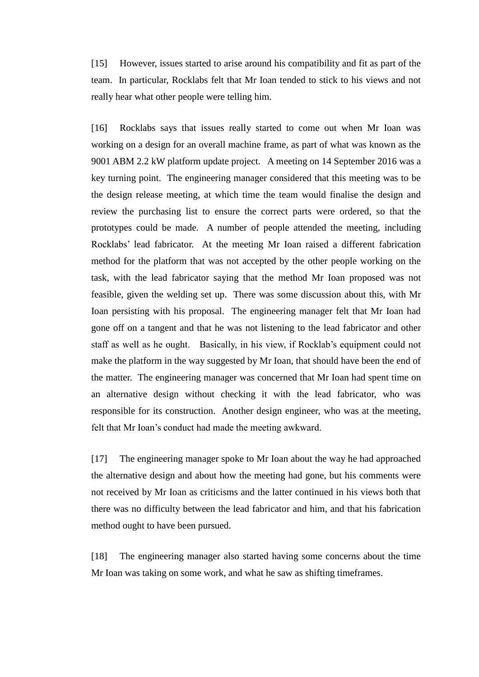[15] However, issues started to arise around his compatibility and fit as part of the team. In particular, Rocklabs felt that Mr Ioan tended to stick to his views and not really hear what other people were telling him.

[16] Rocklabs says that issues really started to come out when Mr Ioan was working on a design for an overall machine frame, as part of what was known as the 9001 ABM 2.2 kW platform update project. A meeting on 14 September 2016 was a key turning point. The engineering manager considered that this meeting was to be the design release meeting, at which time the team would finalise the design and review the purchasing list to ensure the correct parts were ordered, so that the prototypes could be made. A number of people attended the meeting, including Rocklabs' lead fabricator. At the meeting Mr Ioan raised a different fabrication method for the platform that was not accepted by the other people working on the task, with the lead fabricator saying that the method Mr Ioan proposed was not feasible, given the welding set up. There was some discussion about this, with Mr Ioan persisting with his proposal. The engineering manager felt that Mr Ioan had gone off on a tangent and that he was not listening to the lead fabricator and other staff as well as he ought. Basically, in his view, if Rocklab's equipment could not make the platform in the way suggested by Mr Ioan, that should have been the end of the matter. The engineering manager was concerned that Mr Ioan had spent time on an alternative design without checking it with the lead fabricator, who was responsible for its construction. Another design engineer, who was at the meeting, felt that Mr Ioan's conduct had made the meeting awkward.

[17] The engineering manager spoke to Mr Ioan about the way he had approached the alternative design and about how the meeting had gone, but his comments were not received by Mr Ioan as criticisms and the latter continued in his views both that there was no difficulty between the lead fabricator and him, and that his fabrication method ought to have been pursued.

[18] The engineering manager also started having some concerns about the time Mr Ioan was taking on some work, and what he saw as shifting timeframes.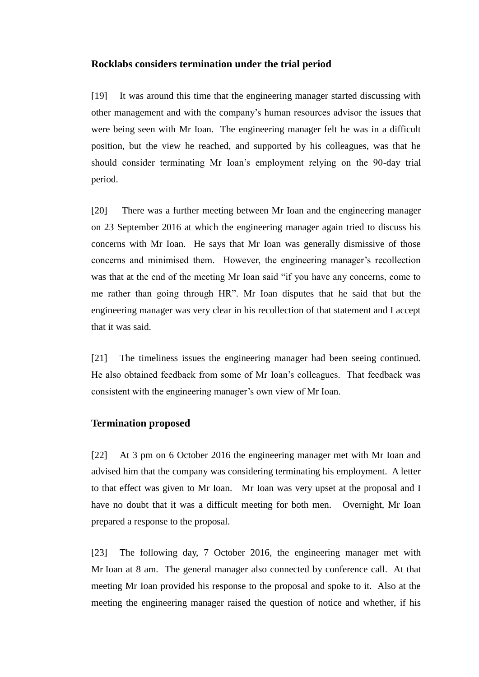### **Rocklabs considers termination under the trial period**

[19] It was around this time that the engineering manager started discussing with other management and with the company's human resources advisor the issues that were being seen with Mr Ioan. The engineering manager felt he was in a difficult position, but the view he reached, and supported by his colleagues, was that he should consider terminating Mr Ioan's employment relying on the 90-day trial period.

[20] There was a further meeting between Mr Ioan and the engineering manager on 23 September 2016 at which the engineering manager again tried to discuss his concerns with Mr Ioan. He says that Mr Ioan was generally dismissive of those concerns and minimised them. However, the engineering manager's recollection was that at the end of the meeting Mr Ioan said "if you have any concerns, come to me rather than going through HR". Mr Ioan disputes that he said that but the engineering manager was very clear in his recollection of that statement and I accept that it was said.

[21] The timeliness issues the engineering manager had been seeing continued. He also obtained feedback from some of Mr Ioan's colleagues. That feedback was consistent with the engineering manager's own view of Mr Ioan.

### **Termination proposed**

[22] At 3 pm on 6 October 2016 the engineering manager met with Mr Ioan and advised him that the company was considering terminating his employment. A letter to that effect was given to Mr Ioan. Mr Ioan was very upset at the proposal and I have no doubt that it was a difficult meeting for both men. Overnight, Mr Ioan prepared a response to the proposal.

[23] The following day, 7 October 2016, the engineering manager met with Mr Ioan at 8 am. The general manager also connected by conference call. At that meeting Mr Ioan provided his response to the proposal and spoke to it. Also at the meeting the engineering manager raised the question of notice and whether, if his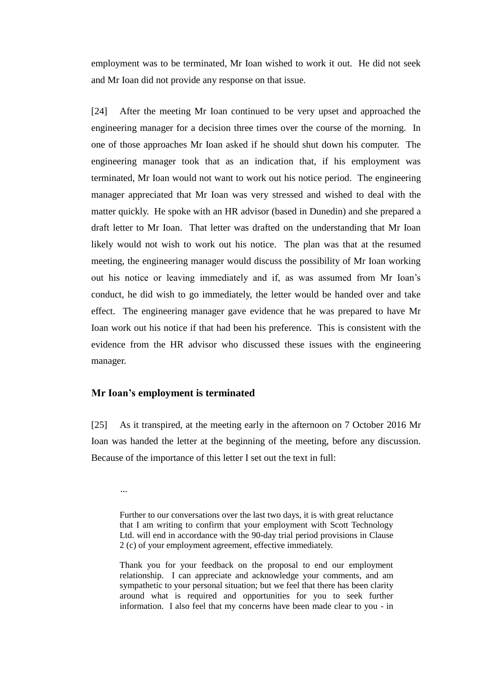employment was to be terminated, Mr Ioan wished to work it out. He did not seek and Mr Ioan did not provide any response on that issue.

[24] After the meeting Mr Ioan continued to be very upset and approached the engineering manager for a decision three times over the course of the morning. In one of those approaches Mr Ioan asked if he should shut down his computer. The engineering manager took that as an indication that, if his employment was terminated, Mr Ioan would not want to work out his notice period. The engineering manager appreciated that Mr Ioan was very stressed and wished to deal with the matter quickly. He spoke with an HR advisor (based in Dunedin) and she prepared a draft letter to Mr Ioan. That letter was drafted on the understanding that Mr Ioan likely would not wish to work out his notice. The plan was that at the resumed meeting, the engineering manager would discuss the possibility of Mr Ioan working out his notice or leaving immediately and if, as was assumed from Mr Ioan's conduct, he did wish to go immediately, the letter would be handed over and take effect. The engineering manager gave evidence that he was prepared to have Mr Ioan work out his notice if that had been his preference. This is consistent with the evidence from the HR advisor who discussed these issues with the engineering manager.

# **Mr Ioan's employment is terminated**

[25] As it transpired, at the meeting early in the afternoon on 7 October 2016 Mr Ioan was handed the letter at the beginning of the meeting, before any discussion. Because of the importance of this letter I set out the text in full:

...

Thank you for your feedback on the proposal to end our employment relationship. I can appreciate and acknowledge your comments, and am sympathetic to your personal situation; but we feel that there has been clarity around what is required and opportunities for you to seek further information. I also feel that my concerns have been made clear to you - in

Further to our conversations over the last two days, it is with great reluctance that I am writing to confirm that your employment with Scott Technology Ltd. will end in accordance with the 90-day trial period provisions in Clause 2 (c) of your employment agreement, effective immediately.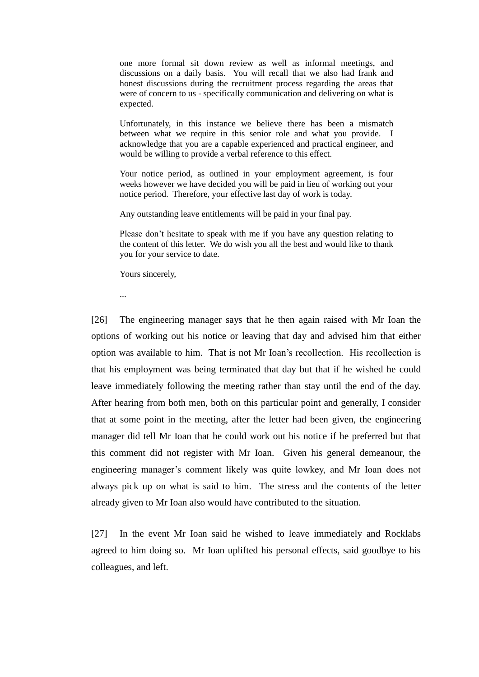one more formal sit down review as well as informal meetings, and discussions on a daily basis. You will recall that we also had frank and honest discussions during the recruitment process regarding the areas that were of concern to us - specifically communication and delivering on what is expected.

Unfortunately, in this instance we believe there has been a mismatch between what we require in this senior role and what you provide. I acknowledge that you are a capable experienced and practical engineer, and would be willing to provide a verbal reference to this effect.

Your notice period, as outlined in your employment agreement, is four weeks however we have decided you will be paid in lieu of working out your notice period. Therefore, your effective last day of work is today.

Any outstanding leave entitlements will be paid in your final pay.

Please don't hesitate to speak with me if you have any question relating to the content of this letter. We do wish you all the best and would like to thank you for your service to date.

Yours sincerely,

...

[26] The engineering manager says that he then again raised with Mr Ioan the options of working out his notice or leaving that day and advised him that either option was available to him. That is not Mr Ioan's recollection. His recollection is that his employment was being terminated that day but that if he wished he could leave immediately following the meeting rather than stay until the end of the day. After hearing from both men, both on this particular point and generally, I consider that at some point in the meeting, after the letter had been given, the engineering manager did tell Mr Ioan that he could work out his notice if he preferred but that this comment did not register with Mr Ioan. Given his general demeanour, the engineering manager's comment likely was quite lowkey, and Mr Ioan does not always pick up on what is said to him. The stress and the contents of the letter already given to Mr Ioan also would have contributed to the situation.

[27] In the event Mr Ioan said he wished to leave immediately and Rocklabs agreed to him doing so. Mr Ioan uplifted his personal effects, said goodbye to his colleagues, and left.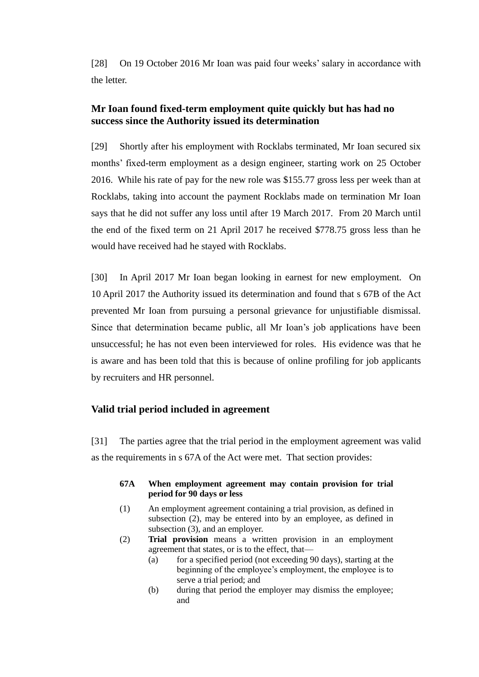[28] On 19 October 2016 Mr Ioan was paid four weeks' salary in accordance with the letter.

# **Mr Ioan found fixed-term employment quite quickly but has had no success since the Authority issued its determination**

[29] Shortly after his employment with Rocklabs terminated, Mr Ioan secured six months' fixed-term employment as a design engineer, starting work on 25 October 2016. While his rate of pay for the new role was \$155.77 gross less per week than at Rocklabs, taking into account the payment Rocklabs made on termination Mr Ioan says that he did not suffer any loss until after 19 March 2017. From 20 March until the end of the fixed term on 21 April 2017 he received \$778.75 gross less than he would have received had he stayed with Rocklabs.

[30] In April 2017 Mr Ioan began looking in earnest for new employment. On 10 April 2017 the Authority issued its determination and found that s 67B of the Act prevented Mr Ioan from pursuing a personal grievance for unjustifiable dismissal. Since that determination became public, all Mr Ioan's job applications have been unsuccessful; he has not even been interviewed for roles. His evidence was that he is aware and has been told that this is because of online profiling for job applicants by recruiters and HR personnel.

# **Valid trial period included in agreement**

[31] The parties agree that the trial period in the employment agreement was valid as the requirements in s 67A of the Act were met. That section provides:

### **67A When employment agreement may contain provision for trial period for 90 days or less**

- (1) An employment agreement containing a trial provision, as defined in subsection (2), may be entered into by an employee, as defined in subsection (3), and an employer.
- (2) **Trial provision** means a written provision in an employment agreement that states, or is to the effect, that—
	- (a) for a specified period (not exceeding 90 days), starting at the beginning of the employee's employment, the employee is to serve a trial period; and
	- (b) during that period the employer may dismiss the employee; and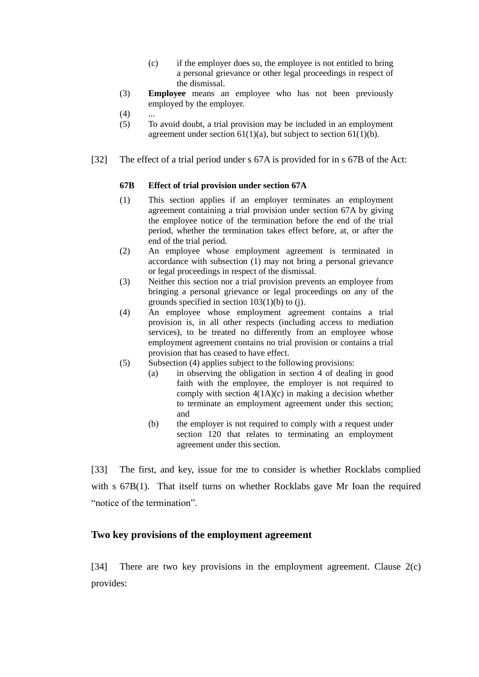- (c) if the employer does so, the employee is not entitled to bring a personal grievance or other legal proceedings in respect of the dismissal.
- (3) **Employee** means an employee who has not been previously employed by the employer.
- $(4)$
- (5) To avoid doubt, a trial provision may be included in an employment agreement under section  $61(1)(a)$ , but subject to section  $61(1)(b)$ .
- [32] The effect of a trial period under s 67A is provided for in s 67B of the Act:

#### **67B Effect of trial provision under section 67A**

- (1) This section applies if an employer terminates an employment agreement containing a trial provision under [section 67A](http://www.legislation.govt.nz/act/public/2000/0024/latest/link.aspx?id=DLM1867204#DLM1867204) by giving the employee notice of the termination before the end of the trial period, whether the termination takes effect before, at, or after the end of the trial period.
- (2) An employee whose employment agreement is terminated in accordance with subsection (1) may not bring a personal grievance or legal proceedings in respect of the dismissal.
- (3) Neither this section nor a trial provision prevents an employee from bringing a personal grievance or legal proceedings on any of the grounds specified in [section 103\(1\)\(b\) to \(j\).](http://www.legislation.govt.nz/act/public/2000/0024/latest/link.aspx?id=DLM60322#DLM60322)
- (4) An employee whose employment agreement contains a trial provision is, in all other respects (including access to mediation services), to be treated no differently from an employee whose employment agreement contains no trial provision or contains a trial provision that has ceased to have effect.
- (5) Subsection (4) applies subject to the following provisions:
	- (a) in observing the obligation in [section 4](http://www.legislation.govt.nz/act/public/2000/0024/latest/link.aspx?id=DLM58328#DLM58328) of dealing in good faith with the employee, the employer is not required to comply with section  $4(1A)(c)$  in making a decision whether to terminate an employment agreement under this section; and
	- (b) the employer is not required to comply with a request under [section 120](http://www.legislation.govt.nz/act/public/2000/0024/latest/link.aspx?id=DLM60360#DLM60360) that relates to terminating an employment agreement under this section.

[33] The first, and key, issue for me to consider is whether Rocklabs complied with s  $67B(1)$ . That itself turns on whether Rocklabs gave Mr Ioan the required "notice of the termination".

## **Two key provisions of the employment agreement**

[34] There are two key provisions in the employment agreement. Clause 2(c) provides: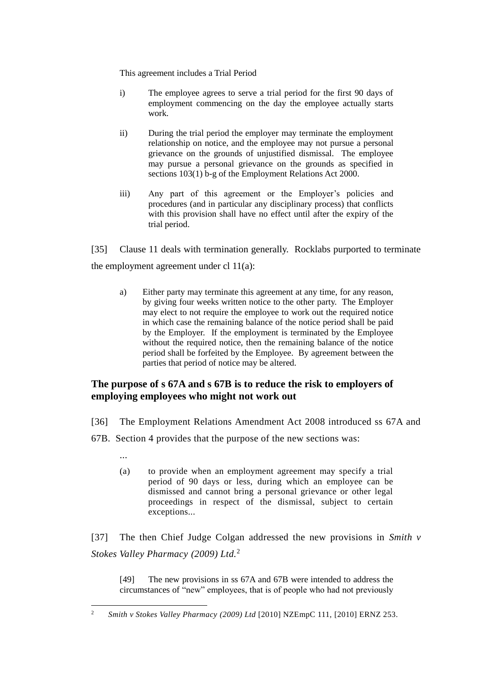This agreement includes a Trial Period

- i) The employee agrees to serve a trial period for the first 90 days of employment commencing on the day the employee actually starts work.
- ii) During the trial period the employer may terminate the employment relationship on notice, and the employee may not pursue a personal grievance on the grounds of unjustified dismissal. The employee may pursue a personal grievance on the grounds as specified in sections 103(1) b-g of the Employment Relations Act 2000.
- iii) Any part of this agreement or the Employer's policies and procedures (and in particular any disciplinary process) that conflicts with this provision shall have no effect until after the expiry of the trial period.

[35] Clause 11 deals with termination generally. Rocklabs purported to terminate the employment agreement under cl  $11(a)$ :

a) Either party may terminate this agreement at any time, for any reason, by giving four weeks written notice to the other party. The Employer may elect to not require the employee to work out the required notice in which case the remaining balance of the notice period shall be paid by the Employer. If the employment is terminated by the Employee without the required notice, then the remaining balance of the notice period shall be forfeited by the Employee. By agreement between the parties that period of notice may be altered.

# **The purpose of s 67A and s 67B is to reduce the risk to employers of employing employees who might not work out**

- [36] The Employment Relations Amendment Act 2008 introduced ss 67A and
- 67B. Section 4 provides that the purpose of the new sections was:

...

(a) to provide when an employment agreement may specify a trial period of 90 days or less, during which an employee can be dismissed and cannot bring a personal grievance or other legal proceedings in respect of the dismissal, subject to certain exceptions...

[37] The then Chief Judge Colgan addressed the new provisions in *Smith v Stokes Valley Pharmacy (2009) Ltd.*<sup>2</sup>

[49] The new provisions in ss 67A and 67B were intended to address the circumstances of "new" employees, that is of people who had not previously

 $\overline{2}$ <sup>2</sup> *Smith v Stokes Valley Pharmacy (2009) Ltd* [2010] NZEmpC 111, [2010] ERNZ 253.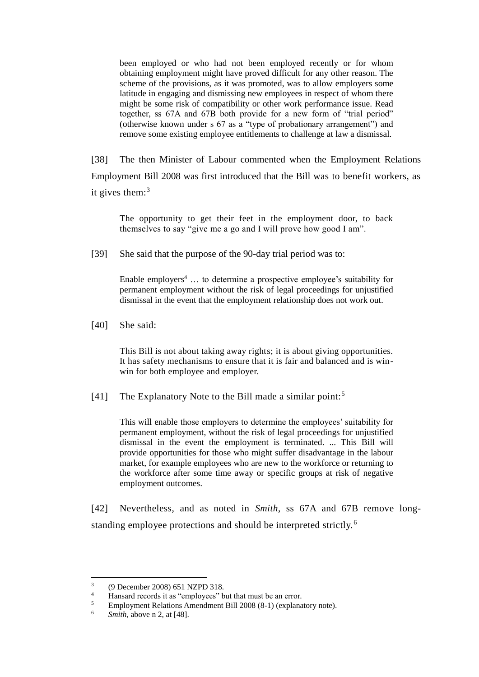been employed or who had not been employed recently or for whom obtaining employment might have proved difficult for any other reason. The scheme of the provisions, as it was promoted, was to allow employers some latitude in engaging and dismissing new employees in respect of whom there might be some risk of compatibility or other work performance issue. Read together, ss 67A and 67B both provide for a new form of "trial period" (otherwise known under s 67 as a "type of probationary arrangement") and remove some existing employee entitlements to challenge at law a dismissal.

[38] The then Minister of Labour commented when the Employment Relations Employment Bill 2008 was first introduced that the Bill was to benefit workers, as it gives them: $3$ 

The opportunity to get their feet in the employment door, to back themselves to say "give me a go and I will prove how good I am".

[39] She said that the purpose of the 90-day trial period was to:

Enable employers<sup>4</sup> ... to determine a prospective employee's suitability for permanent employment without the risk of legal proceedings for unjustified dismissal in the event that the employment relationship does not work out.

[40] She said:

This Bill is not about taking away rights; it is about giving opportunities. It has safety mechanisms to ensure that it is fair and balanced and is winwin for both employee and employer.

[41] The Explanatory Note to the Bill made a similar point:<sup>5</sup>

This will enable those employers to determine the employees' suitability for permanent employment, without the risk of legal proceedings for unjustified dismissal in the event the employment is terminated. ... This Bill will provide opportunities for those who might suffer disadvantage in the labour market, for example employees who are new to the workforce or returning to the workforce after some time away or specific groups at risk of negative employment outcomes.

[42] Nevertheless, and as noted in *Smith*, ss 67A and 67B remove longstanding employee protections and should be interpreted strictly. <sup>6</sup>

 $\overline{a}$ 

<sup>3</sup> (9 December 2008) 651 NZPD 318.

<sup>&</sup>lt;sup>4</sup> Hansard records it as "employees" but that must be an error.<br> **Employment Belations Amendment Bill 2008 (8.1)** (explanations)

<sup>5</sup> Employment Relations Amendment Bill 2008 (8-1) (explanatory note).

<sup>6</sup> *Smith*, above n 2, at [48].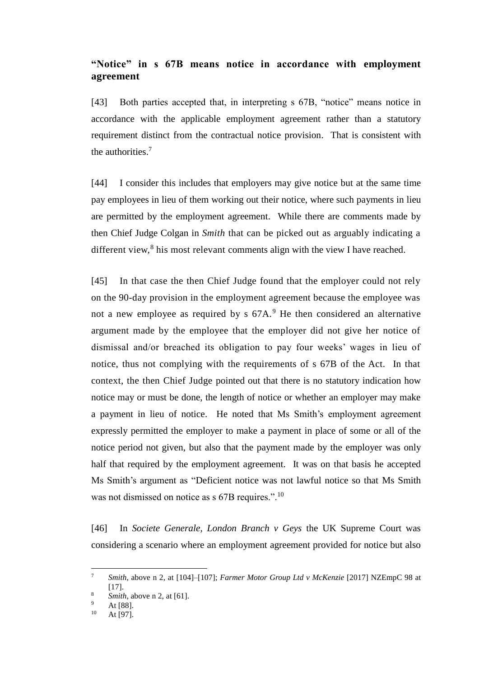# **"Notice" in s 67B means notice in accordance with employment agreement**

[43] Both parties accepted that, in interpreting s 67B, "notice" means notice in accordance with the applicable employment agreement rather than a statutory requirement distinct from the contractual notice provision. That is consistent with the authorities. $<sup>7</sup>$ </sup>

[44] I consider this includes that employers may give notice but at the same time pay employees in lieu of them working out their notice, where such payments in lieu are permitted by the employment agreement. While there are comments made by then Chief Judge Colgan in *Smith* that can be picked out as arguably indicating a different view,<sup>8</sup> his most relevant comments align with the view I have reached.

[45] In that case the then Chief Judge found that the employer could not rely on the 90-day provision in the employment agreement because the employee was not a new employee as required by s  $67A$ .<sup>9</sup> He then considered an alternative argument made by the employee that the employer did not give her notice of dismissal and/or breached its obligation to pay four weeks' wages in lieu of notice, thus not complying with the requirements of s 67B of the Act. In that context, the then Chief Judge pointed out that there is no statutory indication how notice may or must be done, the length of notice or whether an employer may make a payment in lieu of notice. He noted that Ms Smith's employment agreement expressly permitted the employer to make a payment in place of some or all of the notice period not given, but also that the payment made by the employer was only half that required by the employment agreement. It was on that basis he accepted Ms Smith's argument as "Deficient notice was not lawful notice so that Ms Smith was not dismissed on notice as s 67B requires.".<sup>10</sup>

[46] In *Societe Generale, London Branch v Geys* the UK Supreme Court was considering a scenario where an employment agreement provided for notice but also

 $\overline{a}$ 

<sup>7</sup> *Smith*, above n 2, at [104]–[107]; *Farmer Motor Group Ltd v McKenzie* [2017] NZEmpC 98 at [17].

<sup>8</sup> *Smith*, above n 2, at [61].

 $^{9}$  At [88].

At [97].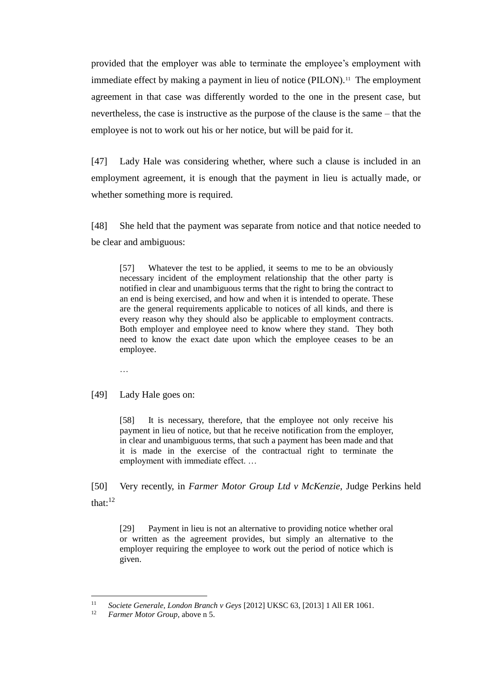provided that the employer was able to terminate the employee's employment with immediate effect by making a payment in lieu of notice (PILON).<sup>11</sup> The employment agreement in that case was differently worded to the one in the present case, but nevertheless, the case is instructive as the purpose of the clause is the same – that the employee is not to work out his or her notice, but will be paid for it.

[47] Lady Hale was considering whether, where such a clause is included in an employment agreement, it is enough that the payment in lieu is actually made, or whether something more is required.

[48] She held that the payment was separate from notice and that notice needed to be clear and ambiguous:

[57] Whatever the test to be applied, it seems to me to be an obviously necessary incident of the employment relationship that the other party is notified in clear and unambiguous terms that the right to bring the contract to an end is being exercised, and how and when it is intended to operate. These are the general requirements applicable to notices of all kinds, and there is every reason why they should also be applicable to employment contracts. Both employer and employee need to know where they stand. They both need to know the exact date upon which the employee ceases to be an employee.

…

[49] Lady Hale goes on:

[58] It is necessary, therefore, that the employee not only receive his payment in lieu of notice, but that he receive notification from the employer, in clear and unambiguous terms, that such a payment has been made and that it is made in the exercise of the contractual right to terminate the employment with immediate effect. …

[50] Very recently, in *Farmer Motor Group Ltd v McKenzie*, Judge Perkins held that: $12$ 

[29] Payment in lieu is not an alternative to providing notice whether oral or written as the agreement provides, but simply an alternative to the employer requiring the employee to work out the period of notice which is given.

 $11$ <sup>11</sup> *Societe Generale, London Branch v Geys* [2012] UKSC 63, [2013] 1 All ER 1061.

*Farmer Motor Group*, above n 5.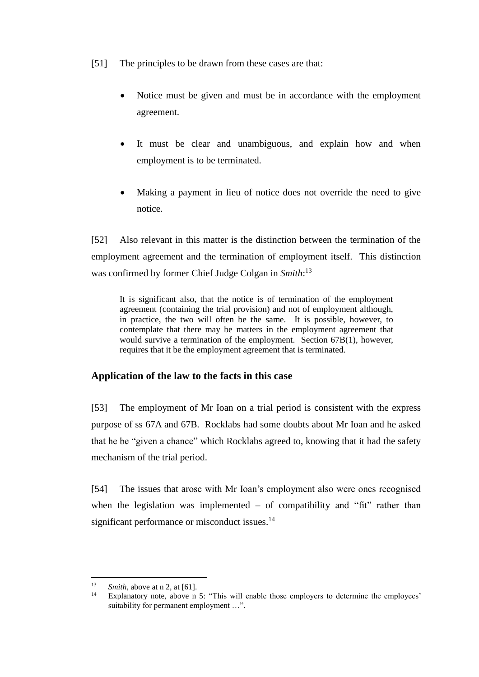- [51] The principles to be drawn from these cases are that:
	- Notice must be given and must be in accordance with the employment agreement.
	- It must be clear and unambiguous, and explain how and when employment is to be terminated.
	- Making a payment in lieu of notice does not override the need to give notice.

[52] Also relevant in this matter is the distinction between the termination of the employment agreement and the termination of employment itself. This distinction was confirmed by former Chief Judge Colgan in *Smith*: 13

It is significant also, that the notice is of termination of the employment agreement (containing the trial provision) and not of employment although, in practice, the two will often be the same. It is possible, however, to contemplate that there may be matters in the employment agreement that would survive a termination of the employment. Section 67B(1), however, requires that it be the employment agreement that is terminated.

# **Application of the law to the facts in this case**

[53] The employment of Mr Ioan on a trial period is consistent with the express purpose of ss 67A and 67B. Rocklabs had some doubts about Mr Ioan and he asked that he be "given a chance" which Rocklabs agreed to, knowing that it had the safety mechanism of the trial period.

[54] The issues that arose with Mr Ioan's employment also were ones recognised when the legislation was implemented  $-$  of compatibility and "fit" rather than significant performance or misconduct issues.<sup>14</sup>

 $13$  $\frac{13}{14}$  *Smith*, above at n 2, at [61].

Explanatory note, above n 5: "This will enable those employers to determine the employees' suitability for permanent employment …".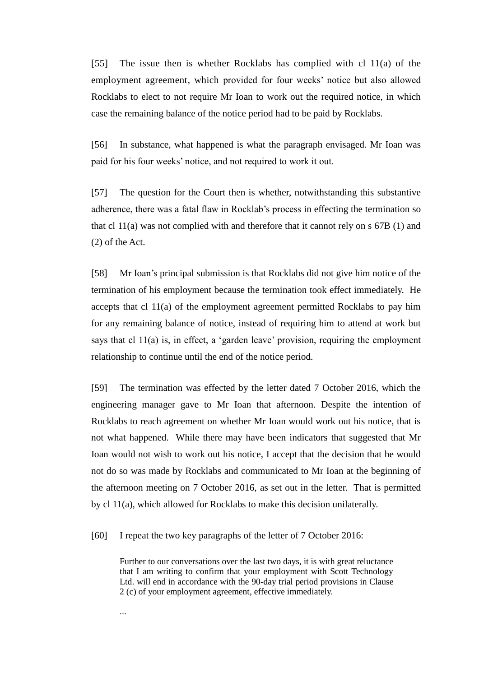[55] The issue then is whether Rocklabs has complied with cl 11(a) of the employment agreement, which provided for four weeks' notice but also allowed Rocklabs to elect to not require Mr Ioan to work out the required notice, in which case the remaining balance of the notice period had to be paid by Rocklabs.

[56] In substance, what happened is what the paragraph envisaged. Mr Ioan was paid for his four weeks' notice, and not required to work it out.

[57] The question for the Court then is whether, notwithstanding this substantive adherence, there was a fatal flaw in Rocklab's process in effecting the termination so that cl  $11(a)$  was not complied with and therefore that it cannot rely on s  $67B(1)$  and (2) of the Act.

[58] Mr Ioan's principal submission is that Rocklabs did not give him notice of the termination of his employment because the termination took effect immediately. He accepts that cl 11(a) of the employment agreement permitted Rocklabs to pay him for any remaining balance of notice, instead of requiring him to attend at work but says that cl  $11(a)$  is, in effect, a 'garden leave' provision, requiring the employment relationship to continue until the end of the notice period.

[59] The termination was effected by the letter dated 7 October 2016, which the engineering manager gave to Mr Ioan that afternoon. Despite the intention of Rocklabs to reach agreement on whether Mr Ioan would work out his notice, that is not what happened. While there may have been indicators that suggested that Mr Ioan would not wish to work out his notice, I accept that the decision that he would not do so was made by Rocklabs and communicated to Mr Ioan at the beginning of the afternoon meeting on 7 October 2016, as set out in the letter. That is permitted by cl 11(a), which allowed for Rocklabs to make this decision unilaterally.

[60] I repeat the two key paragraphs of the letter of 7 October 2016:

Further to our conversations over the last two days, it is with great reluctance that I am writing to confirm that your employment with Scott Technology Ltd. will end in accordance with the 90-day trial period provisions in Clause 2 (c) of your employment agreement, effective immediately.

...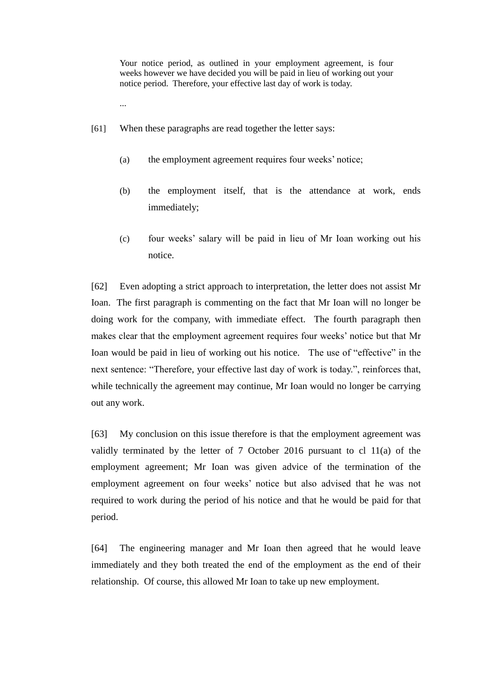Your notice period, as outlined in your employment agreement, is four weeks however we have decided you will be paid in lieu of working out your notice period. Therefore, your effective last day of work is today.

- ...
- [61] When these paragraphs are read together the letter says:
	- (a) the employment agreement requires four weeks' notice;
	- (b) the employment itself, that is the attendance at work, ends immediately;
	- (c) four weeks' salary will be paid in lieu of Mr Ioan working out his notice.

[62] Even adopting a strict approach to interpretation, the letter does not assist Mr Ioan. The first paragraph is commenting on the fact that Mr Ioan will no longer be doing work for the company, with immediate effect. The fourth paragraph then makes clear that the employment agreement requires four weeks' notice but that Mr Ioan would be paid in lieu of working out his notice. The use of "effective" in the next sentence: "Therefore, your effective last day of work is today.", reinforces that, while technically the agreement may continue, Mr Ioan would no longer be carrying out any work.

[63] My conclusion on this issue therefore is that the employment agreement was validly terminated by the letter of 7 October 2016 pursuant to cl 11(a) of the employment agreement; Mr Ioan was given advice of the termination of the employment agreement on four weeks' notice but also advised that he was not required to work during the period of his notice and that he would be paid for that period.

[64] The engineering manager and Mr Ioan then agreed that he would leave immediately and they both treated the end of the employment as the end of their relationship. Of course, this allowed Mr Ioan to take up new employment.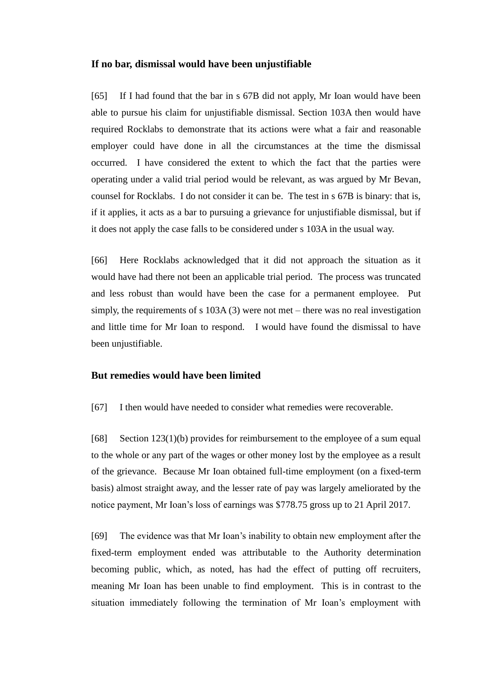#### **If no bar, dismissal would have been unjustifiable**

[65] If I had found that the bar in s 67B did not apply, Mr Ioan would have been able to pursue his claim for unjustifiable dismissal. Section 103A then would have required Rocklabs to demonstrate that its actions were what a fair and reasonable employer could have done in all the circumstances at the time the dismissal occurred. I have considered the extent to which the fact that the parties were operating under a valid trial period would be relevant, as was argued by Mr Bevan, counsel for Rocklabs. I do not consider it can be. The test in s 67B is binary: that is, if it applies, it acts as a bar to pursuing a grievance for unjustifiable dismissal, but if it does not apply the case falls to be considered under s 103A in the usual way.

[66] Here Rocklabs acknowledged that it did not approach the situation as it would have had there not been an applicable trial period. The process was truncated and less robust than would have been the case for a permanent employee. Put simply, the requirements of s 103A (3) were not met – there was no real investigation and little time for Mr Ioan to respond. I would have found the dismissal to have been unjustifiable.

## **But remedies would have been limited**

[67] I then would have needed to consider what remedies were recoverable.

[68] Section  $123(1)(b)$  provides for reimbursement to the employee of a sum equal to the whole or any part of the wages or other money lost by the employee as a result of the grievance. Because Mr Ioan obtained full-time employment (on a fixed-term basis) almost straight away, and the lesser rate of pay was largely ameliorated by the notice payment, Mr Ioan's loss of earnings was \$778.75 gross up to 21 April 2017.

[69] The evidence was that Mr Ioan's inability to obtain new employment after the fixed-term employment ended was attributable to the Authority determination becoming public, which, as noted, has had the effect of putting off recruiters, meaning Mr Ioan has been unable to find employment. This is in contrast to the situation immediately following the termination of Mr Ioan's employment with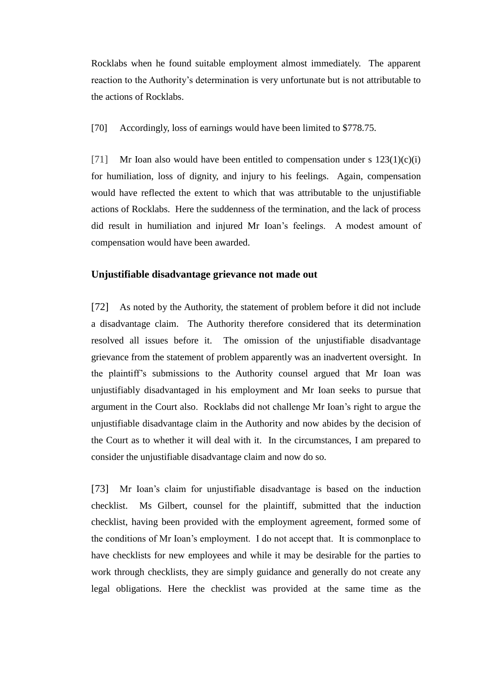Rocklabs when he found suitable employment almost immediately. The apparent reaction to the Authority's determination is very unfortunate but is not attributable to the actions of Rocklabs.

[70] Accordingly, loss of earnings would have been limited to \$778.75.

[71] Mr Ioan also would have been entitled to compensation under s  $123(1)(c)(i)$ for humiliation, loss of dignity, and injury to his feelings. Again, compensation would have reflected the extent to which that was attributable to the unjustifiable actions of Rocklabs. Here the suddenness of the termination, and the lack of process did result in humiliation and injured Mr Ioan's feelings. A modest amount of compensation would have been awarded.

### **Unjustifiable disadvantage grievance not made out**

[72] As noted by the Authority, the statement of problem before it did not include a disadvantage claim. The Authority therefore considered that its determination resolved all issues before it. The omission of the unjustifiable disadvantage grievance from the statement of problem apparently was an inadvertent oversight. In the plaintiff's submissions to the Authority counsel argued that Mr Ioan was unjustifiably disadvantaged in his employment and Mr Ioan seeks to pursue that argument in the Court also. Rocklabs did not challenge Mr Ioan's right to argue the unjustifiable disadvantage claim in the Authority and now abides by the decision of the Court as to whether it will deal with it. In the circumstances, I am prepared to consider the unjustifiable disadvantage claim and now do so.

[73] Mr Ioan's claim for unjustifiable disadvantage is based on the induction checklist. Ms Gilbert, counsel for the plaintiff, submitted that the induction checklist, having been provided with the employment agreement, formed some of the conditions of Mr Ioan's employment. I do not accept that. It is commonplace to have checklists for new employees and while it may be desirable for the parties to work through checklists, they are simply guidance and generally do not create any legal obligations. Here the checklist was provided at the same time as the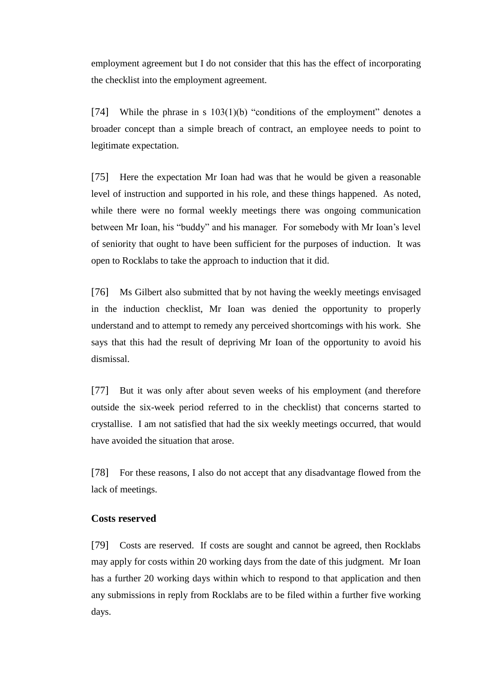employment agreement but I do not consider that this has the effect of incorporating the checklist into the employment agreement.

[74] While the phrase in s  $103(1)(b)$  "conditions of the employment" denotes a broader concept than a simple breach of contract, an employee needs to point to legitimate expectation.

[75] Here the expectation Mr Ioan had was that he would be given a reasonable level of instruction and supported in his role, and these things happened. As noted, while there were no formal weekly meetings there was ongoing communication between Mr Ioan, his "buddy" and his manager. For somebody with Mr Ioan's level of seniority that ought to have been sufficient for the purposes of induction. It was open to Rocklabs to take the approach to induction that it did.

[76] Ms Gilbert also submitted that by not having the weekly meetings envisaged in the induction checklist, Mr Ioan was denied the opportunity to properly understand and to attempt to remedy any perceived shortcomings with his work. She says that this had the result of depriving Mr Ioan of the opportunity to avoid his dismissal.

[77] But it was only after about seven weeks of his employment (and therefore outside the six-week period referred to in the checklist) that concerns started to crystallise. I am not satisfied that had the six weekly meetings occurred, that would have avoided the situation that arose.

[78] For these reasons, I also do not accept that any disadvantage flowed from the lack of meetings.

## **Costs reserved**

[79] Costs are reserved. If costs are sought and cannot be agreed, then Rocklabs may apply for costs within 20 working days from the date of this judgment. Mr Ioan has a further 20 working days within which to respond to that application and then any submissions in reply from Rocklabs are to be filed within a further five working days.